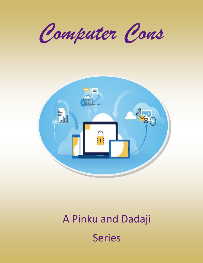*Computer Cons*



# A Pinku and Dadaji Series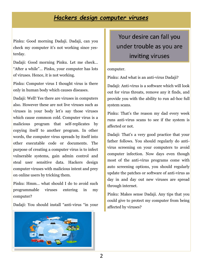### *Hackers design computer viruses*

Pinku: Good morning Dadaji. Dadaji, can you check my computer it's not working since yesterday.

Dadaji: Good morning Pinku. Let me check… "After a while"… Pinku, your computer has lots of viruses. Hence, it is not working.

Pinku: Computer virus I thought virus is there only in human body which causes diseases.

Dadaji: Well! Yes there are viruses in computers also. However these are not live viruses such as viruses in your body let's say those viruses which cause common cold. Computer virus is a malicious program that self-replicates by copying itself to another program. In other words, the computer virus spreads by itself into other executable code or documents. The purpose of creating a computer virus is to infect vulnerable systems, gain admin control and steal user sensitive data. Hackers design computer viruses with malicious intent and prey on online users by tricking them.

Pinku: Hmm… what should I do to avoid such programmable viruses entering in my computer?

Dadaji: You should install "anti-virus "in your



Your desire can fall you under trouble as you are inviting viruses

#### computer.

Pinku: And what is an anti-virus Dadaji?

Dadaji: Anti-virus is a software which will look out for virus threats, remove any it finds, and provide you with the ability to run ad-hoc full system scans.

Pinku: That's the reason my dad every week runs anti-virus scans to see if the system is affected or not.

Dadaji: That's a very good practice that your father follows. You should regularly do antivirus screening on your computers to avoid computer infection. Now days even though most of the anti-virus programs come with auto screening options, you should regularly update the patches or software of anti-virus as day in and day out new viruses are spread through internet.

Pinku: Makes sense Dadaji. Any tips that you could give to protect my computer from being affected by viruses?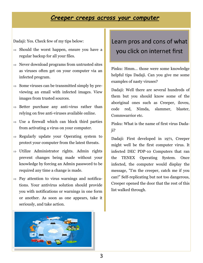### *Creeper creeps across your computer*

Dadaji: Yes. Check few of my tips below:

- $\Rightarrow$  Should the worst happen, ensure you have a regular backup for all your files.
- $\Rightarrow$  Never download programs from untrusted sites as viruses often get on your computer via an infected program.
- $\Rightarrow$  Some viruses can be transmitted simply by previewing an email with infected images. View images from trusted sources.
- $\Rightarrow$  Better purchase any anti-virus rather than relying on free anti-viruses available online.
- $\Rightarrow$  Use a firewall which can block third parties from activating a virus on your computer.
- $\Rightarrow$  Regularly update your Operating system to protect your computer from the latest threats.
- $\Rightarrow$  Utilize Administrator rights. Admin rights prevent changes being made without your knowledge by forcing an Admin password to be required any time a change is made.
- $\Rightarrow$  Pay attention to virus warnings and notifications. Your antivirus solution should provide you with notifications or warnings in one form or another. As soon as one appears, take it seriously, and take action.



# Learn pros and cons of what you click on internet first

Pinku: Hmm… those were some knowledge helpful tips Dadaji. Can you give me some examples of nasty viruses?

Dadaji: Well there are several hundreds of them but you should know some of the aboriginal ones such as Creeper, iloveu, code red, Nimda, slammer, blaster, Commwarrior etc.

Pinku: What is the name of first virus Dadaji?

Dadaji: First developed in 1971, Creeper might well be the first computer virus. It infected DEC PDP-10 Computers that ran the TENEX Operating System. Once infected, the computer would display the message, "I'm the creeper, catch me if you can!" Self-replicating but not too dangerous, Creeper opened the door that the rest of this list walked through.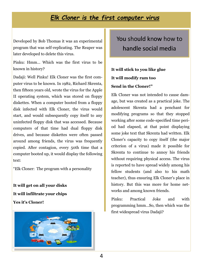### *Elk Cloner is the first computer virus*

Developed by Bob Thomas it was an experimental program that was self-replicating. The Reaper was later developed to delete this virus.

Pinku: Hmm… Which was the first virus to be known in history?

Dadaji: Well Pinku! Elk Cloner was the first computer virus to be known. In 1982, Richard Skrenta, then fifteen years old, wrote the virus for the Apple II operating system, which was stored on floppy diskettes. When a computer booted from a floppy disk infected with Elk Cloner, the virus would start, and would subsequently copy itself to any uninfected floppy disk that was accessed. Because computers of that time had dual floppy disk drives, and because diskettes were often passed around among friends, the virus was frequently copied. After contagion, every 50th time that a computer booted up, it would display the following text:

"Elk Cloner: The program with a personality

**It will get on all your disks It will infiltrate your chips Yes it's Cloner!**



You should know how to handle social media

### **It will stick to you like glue It will modify ram too Send in the Cloner!"**

Elk Cloner was not intended to cause damage, but was created as a practical joke. The adolescent Skrenta had a penchant for modifying programs so that they stopped working after some code-specified time period had elapsed, at that point displaying some joke text that Skrenta had written. Elk Cloner's capacity to copy itself (the major criterion of a virus) made it possible for Skrenta to continue to annoy his friends without requiring physical access. The virus is reported to have spread widely among his fellow students (and also to his math teacher), thus ensuring Elk Cloner's place in history. But this was more for home networks and among known friends.

Pinku: Practical Joke and with programming hmm…So, then which was the first widespread virus Dadaji?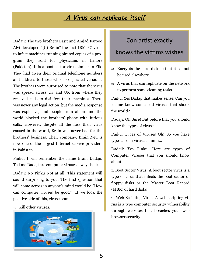### *A Virus can replicate itself*

Dadaji: The two brothers Basit and Amjad Farooq Alvi developed "(C) Brain" the first IBM PC virus to infect machines running pirated copies of a program they sold for physicians in Lahore (Pakistan). It is a boot sector virus similar to Elk. They had given their original telephone numbers and address to those who used pirated versions. The brothers were surprised to note that the virus was spread across US and UK from where they received calls to disinfect their machines. There was never any legal action, but the media response was explosive, and people from all around the world blocked the brothers' phone with furious calls. However, despite all the fuss their virus caused in the world, Brain was never bad for the brothers' business. Their company, Brain Net, is now one of the largest Internet service providers in Pakistan.

Pinku: I will remember the name Brain Dadaji. Tell me Dadaji are computer viruses always bad?

Dadaji: No Pinku Not at all! This statement will sound surprising to you. The first question that will come across in anyone's mind would be "How can computer viruses be good"? If we look the positive side of this, viruses can:-

 $\Rightarrow$  Kill other viruses.



### Con artist exactly

### knows the victims wishes

- $\Rightarrow$  Encrypts the hard disk so that it cannot be used elsewhere.
- $\Rightarrow$  A virus that can replicate on the network to perform some cleaning tasks.

Pinku: Yes Dadaji that makes sense. Can you let me know some bad viruses that shook the world?

Dadaji: Oh Sure! But before that you should know the types of viruses.

Pinku: Types of Viruses Oh! So you have types also in viruses…hmm…

Dadaji: Yes Pinku. Here are types of Computer Viruses that you should know about:

1. Boot Sector Virus: A boot sector virus is a type of virus that infects the boot sector of floppy disks or the Master Boot Record (MBR) of hard disks

2. Web Scripting Virus: A web scripting virus is a type computer security vulnerability through websites that breaches your web browser security.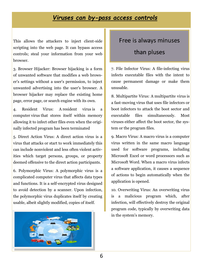### *Viruses can by-pass access controls*

This allows the attackers to inject client-side scripting into the web page. It can bypass access controls; steal your information from your web browser.

3. Browser Hijacker: Browser hijacking is a form of unwanted software that modifies a web browser's settings without a user's permission, to inject unwanted advertising into the user's browser. A browser hijacker may replace the existing home page, error page, or search engine with its own.

4. Resident Virus: A resident virus is a computer virus that stores itself within memory allowing it to infect other files even when the originally infected program has been terminated

5. Direct Action Virus: A direct action virus is a virus that attacks or start to work immediately this can include nonviolent and less often violent activities which target persons, groups, or property deemed offensive to the direct action participants.

6. Polymorphic Virus: A polymorphic virus is a complicated computer virus that affects data types and functions. It is a self-encrypted virus designed to avoid detection by a scanner. Upon infection, the polymorphic virus duplicates itself by creating usable, albeit slightly modified, copies of itself.



### Free is always minuses

### than pluses

7. File Infector Virus: A file-infecting virus infects executable files with the intent to cause permanent damage or make them unusable.

8. Multipartite Virus: A multipartite virus is a fast-moving virus that uses file infectors or boot infectors to attack the boot sector and executable files simultaneously. Most viruses either affect the boot sector, the system or the program files.

9. Macro Virus: A macro virus is a computer virus written in the same macro language used for software programs, including Microsoft Excel or word processors such as Microsoft Word. When a macro virus infects a software application, it causes a sequence of actions to begin automatically when the application is opened.

10. Overwriting Virus: An overwriting virus is a malicious program which, after infection, will effectively destroy the original program code, typically by overwriting data in the system's memory.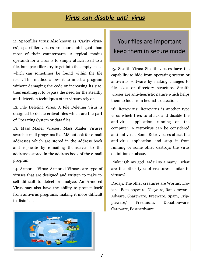### *Virus can disable anti-virus*

11. Spacefiller Virus: Also known as "Cavity Viruses", spacefiller viruses are more intelligent than most of their counterparts. A typical modus operandi for a virus is to simply attach itself to a file, but spacefillers try to get into the empty space which can sometimes be found within the file itself. This method allows it to infect a program without damaging the code or increasing its size, thus enabling it to bypass the need for the stealthy anti-detection techniques other viruses rely on.

12. File Deleting Virus: A File Deleting Virus is designed to delete critical files which are the part of Operating System or data files.

13. Mass Mailer Viruses: Mass Mailer Viruses search e-mail programs like MS outlook for e-mail addresses which are stored in the address book and replicate by e-mailing themselves to the addresses stored in the address book of the e-mail program.

14. Armored Virus: Armored Viruses are type of viruses that are designed and written to make itself difficult to detect or analyze. An Armored Virus may also have the ability to protect itself from antivirus programs, making it more difficult to disinfect.



# Your files are important keep them in secure mode

15. Stealth Virus: Stealth viruses have the capability to hide from operating system or anti-virus software by making changes to file sizes or directory structure. Stealth viruses are anti-heuristic nature which helps them to hide from heuristic detection.

16: Retrovirus: Retrovirus is another type virus which tries to attack and disable the anti-virus application running on the computer. A retrovirus can be considered anti-antivirus. Some Retroviruses attack the anti-virus application and stop it from running or some other destroys the virus definition database.

Pinku: Oh my god Dadaji so a many… what are the other type of creatures similar to viruses?

Dadaji: The other creatures are Worms, Trojans, Bots, spyware, Nagware, Ransomware, Adware, Shareware, Freeware, Spam, Crippleware/ Freemium, Donationware, Careware, Postcardware…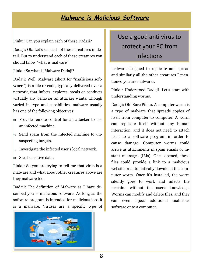### *Malware is Malicious Software*

Pinku: Can you explain each of these Dadaji?

Dadaji: Ok. Let's see each of these creatures in detail. But to understand each of these creatures you should know "what is malware".

Pinku: So what is Malware Dadaji?

Dadaji: Well! Malware (short for "**mal**icious soft**ware**") is a file or code, typically delivered over a network, that infects, explores, steals or conducts virtually any behavior an attacker wants. Though varied in type and capabilities, malware usually has one of the following objectives:

- $\Rightarrow$  Provide remote control for an attacker to use an infected machine.
- $\Rightarrow$  Send spam from the infected machine to unsuspecting targets.
- $\Rightarrow$  Investigate the infected user's local network.
- $\Rightarrow$  Steal sensitive data.

Pinku: So you are trying to tell me that virus is a malware and what about other creatures above are they malware too.

Dadaji: The definition of Malware as I have described you is malicious software. As long as the software program is intended for malicious jobs it is a malware. Viruses are a specific type of



# Use a good anti virus to protect your PC from infections

malware designed to replicate and spread and similarly all the other creatures I mentioned you are malwares.

Pinku: Understood Dadaji. Let's start with understanding worms.

Dadaji: Oh! Sure Pinku. A computer worm is a type of malware that spreads copies of itself from computer to computer. A worm can replicate itself without any human interaction, and it does not need to attach itself to a software program in order to cause damage. Computer worms could arrive as attachments in spam emails or instant messages (IMs). Once opened, these files could provide a link to a malicious website or automatically download the computer worm. Once it's installed, the worm silently goes to work and infects the machine without the user's knowledge. Worms can modify and delete files, and they can even inject additional malicious software onto a computer.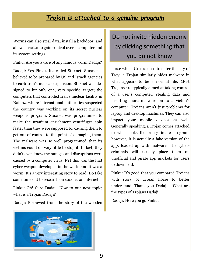### *Trojan is attached to a genuine program*

Worms can also steal data, install a backdoor, and allow a hacker to gain control over a computer and its system settings.

Pinku: Are you aware of any famous worm Dadaji?

Dadaji: Yes Pinku. It's called Stuxnet. Stuxnet is believed to be prepared by US and Israeli agencies to curb Iran's nuclear expansion. Stuxnet was designed to hit only one, very specific, target; the computers that controlled Iran's nuclear facility in Natanz, where international authorities suspected the country was working on its secret nuclear weapons program. Stuxnet was programmed to make the uranium enrichment centrifuges spin faster than they were supposed to, causing them to get out of control to the point of damaging them. The malware was so well programmed that its victims could do very little to stop it. In fact, they didn't even know the outages and disruptions were caused by a computer virus. FYI this was the first cyber weapon developed in the world and it was a worm. It's a very interesting story to read. Do take some time out to research on stuxnet on internet.

Pinku: Oh! Sure Dadaji. Now to our next topic; what is a Trojan Dadaji?

Dadaji: Borrowed from the story of the wooden



horse which Greeks used to enter the city of Troy, a Trojan similarly hides malware in what appears to be a normal file. Most Trojans are typically aimed at taking control of a user's computer, stealing data and inserting more malware on to a victim's computer. Trojans aren't just problems for laptop and desktop machines. They can also impact your mobile devices as well. Generally speaking, a Trojan comes attached to what looks like a legitimate program, however, it is actually a fake version of the app, loaded up with malware. The cybercriminals will usually place them on unofficial and pirate app markets for users to download.

Pinku: It's good that you compared Trojans with story of Trojan horse to better understand. Thank you Dadaji... What are the types of Trojans Dadaji?

Dadaji: Here you go Pinku:

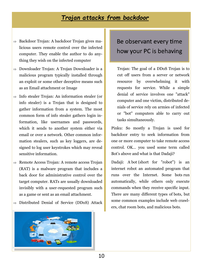### *Trojan attacks from backdoor*

- $\Rightarrow$  Backdoor Trojan: A backdoor Trojan gives malicious users remote control over the infected computer. They enable the author to do anything they wish on the infected computer
- $\Rightarrow$  Downloader Trojan: A Trojan Downloader is a malicious program typically installed through an exploit or some other deceptive means such as an Email attachment or Image
- $\Rightarrow$  Info stealer Trojan: An information stealer (or info stealer) is a Trojan that is designed to gather information from a system. The most common form of info stealer gathers login information, like usernames and passwords, which it sends to another system either via email or over a network. Other common information stealers, such as key loggers, are designed to log user keystrokes which may reveal sensitive information.
- $\Rightarrow$  Remote Access Trojan: A remote access Trojan (RAT) is a malware program that includes a back door for administrative control over the target computer. RATs are usually downloaded invisibly with a user-requested program such as a game or sent as an email attachment.
- $\Rightarrow$  Distributed Denial of Service (DDoS) Attack



### Be observant every time how your PC is behaving

Trojan: The goal of a DDoS Trojan is to cut off users from a server or network resource by overwhelming it with requests for service. While a simple denial of service involves one "attack" computer and one victim, distributed denials of service rely on armies of infected or "bot" computers able to carry out tasks simultaneously.

Pinku: So mostly a Trojan is used for backdoor entry to seek information from one or more computer to take remote access control. OK… you used some term called Bot's above and what is that Dadaji?

Dadaji: A bot (short for "robot") is an internet robot an automated program that runs over the Internet. Some bots run automatically, while others only execute commands when they receive specific input. There are many different types of bots, but some common examples include web crawlers, chat room bots, and malicious bots.

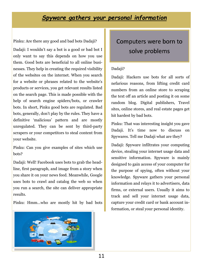### *Spyware gathers your personal information*

Pinku: Are there any good and bad bots Dadaji?

Dadaji: I wouldn't say a bot is a good or bad bot I only want to say this depends on how you use them. Good bots are beneficial to all online businesses. They help in creating the required visibility of the websites on the internet. When you search for a website or phrases related to the website's products or services, you get relevant results listed on the search page. This is made possible with the help of search engine spiders/bots, or crawler bots. In short, Pinku good bots are regulated. Bad bots, generally, don't play by the rules. They have a definitive 'malicious' pattern and are mostly unregulated. They can be sent by third-party scrapers or your competitors to steal content from your website.

Pinku: Can you give examples of sites which use bots?

Dadaji: Well! Facebook uses bots to grab the headline, first paragraph, and image from a story when you share it on your news feed. Meanwhile, Google uses bots to crawl and catalog the web so when you run a search, the site can deliver appropriate results.

Pinku: Hmm…who are mostly hit by bad bots



# Computers were born to solve problems

#### Dadaji?

Dadaji: Hackers use bots for all sorts of nefarious reasons, from lifting credit card numbers from an online store to scraping the text off an article and posting it on some random blog. Digital publishers, Travel sites, online stores, and real estate pages get hit hardest by bad bots.

Pinku: That was interesting insight you gave Dadaji. It's time now to discuss on Spywares. Tell me Dadaji what are they?

Dadaji: Spyware infiltrates your computing device, stealing your internet usage data and sensitive information. Spyware is mainly designed to gain access of your computer for the purpose of spying, often without your knowledge. Spyware gathers your personal information and relays it to advertisers, data firms, or external users. Usually it aims to track and sell your internet usage data, capture your credit card or bank account information, or steal your personal identity.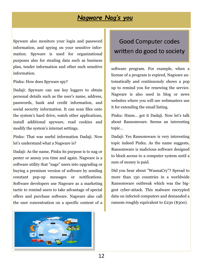### *Nagware Nag's you*

Spyware also monitors your login and password information, and spying on your sensitive information. Spyware is used for organizational purposes also for stealing data such as business plan, tender information and other such sensitive information.

Pinku: How does Spyware spy?

Dadaji: Spyware can use key loggers to obtain personal details such as the user's name, address, passwords, bank and credit information, and social security information. It can scan files onto the system's hard drive, watch other applications, install additional spyware, read cookies and modify the system's internet settings.

Pinku: That was useful information Dadaji. Now let's understand what a Nagware is?

Dadaji: As the name, Pinku its purpose is to nag or pester or annoy you time and again. Nagware is a software utility that "nags" users into upgrading or buying a premium version of software by sending constant pop-up messages or notifications. Software developers use Nagware as a marketing tactic to remind users to take advantage of special offers and purchase software. Nagware also call the user concentration on a specific content of a



# Good Computer codes written do good to society

software program. For example, when a license of a program is expired, Nagware automatically and continuously shows a pop up to remind you for renewing the service. Nagware is also used in blog or news websites where you will see webmasters use it for extending the email listing.

Pinku: Hmm… got it Dadaji. Now let's talk about Ransomware. Seems an interesting topic…

Dadaji: Yes Ransomware is very interesting topic indeed Pinku. As the name suggests, Ransomware is malicious software designed to block access to a computer system until a sum of money is paid.

Did you hear about "WannaCry"? Spread to more than 150 countries in a worldwide Ransomware outbreak which was the biggest cyber-attack. This malware encrypted data on infected computers and demanded a ransom roughly equivalent to £230 (\$300).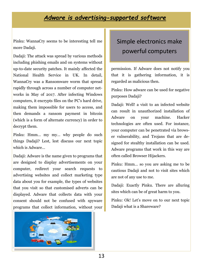### *Adware is advertising-supported software*

Pinku: WannaCry seems to be interesting tell me more Dadaji.

Dadaji: The attack was spread by various methods including phishing emails and on systems without up-to-date security patches. It mainly affected the National Health Service in UK. In detail, WannaCry was a Ransomware worm that spread rapidly through across a number of computer networks in May of 2017. After infecting Windows computers, it encrypts files on the PC's hard drive, making them impossible for users to access, and then demands a ransom payment in bitcoin (which is a form of alternate currency) in order to decrypt them.

Pinku: Hmm… my my… why people do such things Dadaji? Lest, lest discuss our next topic which is Adware…

Dadaji: Adware is the name given to programs that are designed to display advertisements on your computer, redirect your search requests to advertising websites and collect marketing type data about you for example, the types of websites that you visit so that customised adverts can be displayed. Adware that collects data with your consent should not be confused with spyware programs that collect information, without your



# Simple electronics make powerful computers

permission. If Adware does not notify you that it is gathering information, it is regarded as malicious then.

Pinku: How adware can be used for negative purposes Dadaji?

Dadaji: Well! a visit to an infected website can result in unauthorized installation of Adware on your machine. Hacker technologies are often used. For instance, your computer can be penetrated via browser vulnerability, and Trojans that are designed for stealthy installation can be used. Adware programs that work in this way are often called Browser Hijackers.

Pinku: Hmm… so you are asking me to be cautious Dadaji and not to visit sites which are not of any use to me.

Dadaji: Exactly Pinku. There are alluring sites which can be of great harm to you.

Pinku: Ok! Let's move on to our next topic Dadaji what is a Shareware?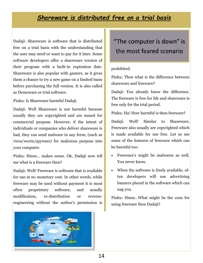### *Shareware is distributed free on a trial basis*

Dadaji: Shareware is software that is distributed free on a trial basis with the understanding that the user may need or want to pay for it later. Some software developers offer a shareware version of their program with a built-in expiration date. Shareware is also popular with gamers, as it gives them a chance to try a new game on a limited basis before purchasing the full version. It is also called as Demoware or trial software.

Pinku: Is Shareware harmful Dadaji.

Dadaji: Well Shareware is not harmful because usually they are copyrighted and are issued for commercial purpose. However, if the intent of individuals or companies who deliver shareware is bad, they can send malware in any form, (such as virus/worm/spyware) for malicious purpose into your computer.

Pinku: Hmm… makes sense. Ok, Dadaji now tell me what is a freeware then?

Dadaji: Well! Freeware is software that is available for use at no monetary cost. In other words, while freeware may be used without payment it is most often proprietary software, and usually modification, re-distribution or reverseengineering without the author's permission is



# "The computer is down" is the most feared scenario

#### prohibited.

Pinku: Then what is the difference between shareware and freeware?

Dadaji: You already know the difference. The freeware is free for life and shareware is free only for the trial period.

Pinku: Ha! How harmful is then freeware?

Dadaji: Well! Similar to Shareware, Freeware also usually are copyrighted which is made available for use free. Let us see some of the features of freeware which can be harmful too:

- Freeware's might be malwares as well. You never know.
- When the software is freely available, often developers will use advertising banners placed in the software which can nag you.

Pinku: Hmm…What might be the cons for using freeware then Dadaji?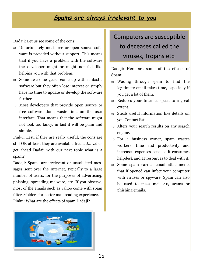### *Spams are always irrelevant to you*

Dadaji: Let us see some of the cons:

- $\Rightarrow$  Unfortunately most free or open source software is provided without support. This means that if you have a problem with the software the developer might or might not feel like helping you with that problem.
- $\Rightarrow$  Some awesome geeks come up with fantastic software but they often lose interest or simply have no time to update or develop the software further.
- $\Rightarrow$  Most developers that provide open source or free software don't waste time on the user interface. That means that the software might not look too fancy, in fact it will be plain and simple.

Pinku: Lest, if they are really useful, the cons are still OK at least they are available free… J…Let us get ahead Dadaji with our next topic what is a spam?

Dadaji: Spams are irrelevant or unsolicited messages sent over the Internet, typically to a large number of users, for the purposes of advertising, phishing, spreading malware, etc. If you observe, most of the emails such as yahoo come with spam filters/folders for better mail reading experience. Pinku: What are the effects of spam Dadaji?



# Computers are susceptible to deceases called the viruses, Trojans etc.

Dadaji: Here are some of the effects of Spam:

- $\Rightarrow$  Wading through spam to find the legitimate email takes time, especially if you get a lot of them.
- $\Rightarrow$  Reduces your Internet speed to a great extent.
- $\Rightarrow$  Steals useful information like details on you Contact list.
- $\Rightarrow$  Alters your search results on any search engine.
- $\Rightarrow$  For a business owner, spam wastes workers' time and productivity and increases expenses because it consumes helpdesk and IT resources to deal with it.
- $\Rightarrow$  Some spam carries email attachments that if opened can infect your computer with viruses or spyware. Spam can also be used to mass mail 419 scams or phishing emails.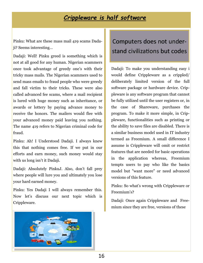### *Crippleware is half software*

Pinku: What are these mass mail 419 scams Dadaji? Seems interesting…

Dadaji: Well! Pinku greed is something which is not at all good for any human. Nigerian scammers once took advantage of greedy one's with their tricky mass mails. The Nigerian scammers used to send mass emails to fraud people who were greedy and fall victim to their tricks. These were also called advanced fee scams, where a mail recipient is lured with huge money such as inheritance, or awards or lottery by paying advance money to receive the honors. The mailers would flee with your advanced money paid leaving you nothing. The name 419 refers to Nigerian criminal code for fraud.

Pinku: Ah! I Understood Dadaji. I always knew this that nothing comes free. If we put in our efforts and earn money, such money would stay with us long isn't it Dadaji.

Dadaji: Absolutely PinkuJ. Also, don't fall prey where people will lure you and ultimately you lose your hard earned money.

Pinku: Yes Dadaji I will always remember this. Now let's discuss our next topic which is Crippleware.



# Computers does not understand civilizations but codes

Dadaji: To make you understanding easy i would define Crippleware as a crippled/ deliberately limited version of the full software package or hardware device. Crippleware is any software program that cannot be fully utilized until the user registers or, in the case of Shareware, purchases the program. To make it more simple, in Crippleware, functionalities such as printing or the ability to save files are disabled. There is a similar business model used in IT industry termed as Freemium. A small difference I assume is Crippleware will omit or restrict features that are needed for basic operations in the application whereas, Freemium tempts users to pay who like the basics model but "want more" or need advanced versions of this feature.

Pinku: So what's wrong with Crippleware or Freemium's?

Dadaji: Once again Crippleware and Freemium since they are free, versions of these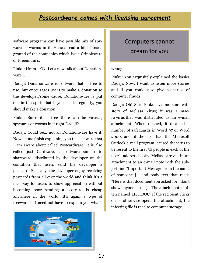### *Postcardware comes with licensing agreement*

software programs can have possible mix of spyware or worms in it. Hence, read a bit of background of the companies which issue Crippleware or Freemium's.

Pinku: Hmm… Ok! Let's now talk about Donationware…

Dadaji: Donationware is software that is free to use, but encourages users to make a donation to the developer/some cause. Donationware is put out in the spirit that if you use it regularly, you should make a donation.

Pinku: Since it is free there can be viruses, spywares or worms in it right Dadaji?

Dadaji: Could be… not all Donationware have it. Now let me finish explaining you the last ware that I am aware about called Postcardware. It is also called just Cardware, is software similar to shareware, distributed by the developer on the condition that users send the developer a postcard. Basically, the developer enjoy receiving postcards from all over the world and think it's a nice way for users to show appreciation without becoming poor sending a postcard is cheap anywhere in the world. It's again a type of freeware so I need not have to explain you what's



# Computers cannot dream for you

#### wrong.

Pinku: You exquisitely explained the basics Dadaji. Now, I want to listen more stories and if you could also give scenarios of computer frauds.

Dadaji: Oh! Sure Pinku. Let me start with story of Melissa Virus; it was a macro virus that was distributed as an e-mail attachment. When opened, it disabled a number of safeguards in Word 97 or Word 2000, and, if the user had the Microsoft Outlook e-mail program, caused the virus to be resent to the first 50 people in each of the user's address books. Melissa arrives in an attachment to an e-mail note with the subject line "Important Message from the name of someone [," and body text that reads "Here is that document you asked for...don't show anyone else ;-)". The attachment is often named LIST.DOC. If the recipient clicks on or otherwise opens the attachment, the infecting file is read to computer storage.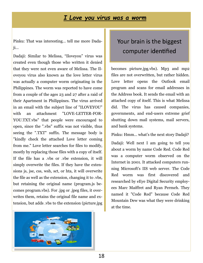### *I Love you virus was a worm*

Pinku: That was interesting… tell me more Dadaji…

Dadaji: Similar to Melissa, "Iloveyou" virus was created even though those who written it denied that they were not even aware of Melissa. The Iloveyou virus also known as the love letter virus was actually a computer worm originating in the Philippines. The worm was reported to have come from a couple of the ages 23 and 27 after a raid of their Apartment in Philippines. The virus arrived in an email with the subject line of "ILOVEYOU" with an attachment "LOVE-LETTER-FOR-YOU.TXT.vbs" that people were encouraged to open, since the ".vbs" suffix was not visible, thus seeing the ".TXT" suffix. The message body is "kindly check the attached Love letter coming from me." Love letter searches for files to modify, mostly by replacing those files with a copy of itself. If the file has a .vbs or .vbe extension, it will simply overwrite the files. If they have the extensions js, jse, css, wsh, sct, or hta, it will overwrite the file as well as the extension, changing it to .vbs, but retaining the original name (program.js becomes program.vbs). For .jpg or .jpeg files, it overwrites them, retains the original file name and extension, but adds .vbs to the extension (picture.jpg



# Your brain is the biggest computer identified

becomes picture.jpg.vbs). Mp3 and mp2 files are not overwritten, but rather hidden. Love letter opens the Outlook email program and scans for email addresses in the Address book. It sends the email with an attached copy of itself. This is what Melissa did. The virus has caused companies, governments, and end-users extreme grief shutting down mail systems, mail servers, and bank systems.

Pinku: Hmm… what's the next story Dadaji?

Dadaji: Well next I am going to tell you about a worm by name Code Red. Code Red was a computer worm observed on the Internet in 2001. It attacked computers running Microsoft's IIS web server. The Code Red worm was first discovered and researched by eEye Digital Security employees Marc Maiffret and Ryan Permeh. They named it "Code Red" because Code Red Mountain Dew was what they were drinking at the time.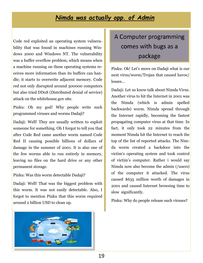### *Nimda was actually opp. of Admin*

Code red exploited an operating system vulnerability that was found in machines running Windows 2000 and Windows NT. The vulnerability was a buffer overflow problem, which means when a machine running on these operating systems receives more information than its buffers can handle; it starts to overwrite adjacent memory. Code red not only disrupted around 300000 computers but also tried DDoS (Distributed denial of service) attack on the whitehouse.gov site.

Pinku: Oh my god! Why people write such programmed viruses and worms Dadaji?

Dadaji: Well! They are usually written to exploit someone for something. Oh I forgot to tell you that after Code Red came another worm named Code Red II causing possible billions of dollars of damage in the summer of 2001. It is also one of the few worms able to run entirely in memory, leaving no files on the hard drive or any other permanent storage.

Pinku: Was this worm detectable Dadaji?

Dadaji: Well! That was the biggest problem with this worm. It was not easily detectable. Also, I forgot to mention Pinku that this worm required around 2 billion USD to clean up.



# A Computer programming comes with bugs as a package

Pinku: Ok! Let's move on Dadaji what is our next virus/worm/Trojan that caused havoc/ losses…

Dadaji: Let us know talk about Nimda Virus. Another virus to hit the Internet in 2001 was the Nimda (which is admin spelled backwards) worm. Nimda spread through the Internet rapidly, becoming the fastest propagating computer virus at that time. In fact, it only took 22 minutes from the moment Nimda hit the Internet to reach the top of the list of reported attacks. The Nimda worm created a backdoor into the victim's operating system and took control of victim's computer. Rather i would say Nimda now also become the admin (/users) of the computer it attacked. The virus caused \$635 million worth of damages in 2001 and caused Internet browsing time to slow significantly.

Pinku: Why do people release such viruses?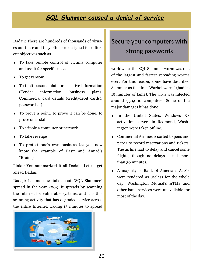### *SQL Slammer caused a denial of service*

Dadaji: There are hundreds of thousands of viruses out there and they often are designed for different objectives such as

- To take remote control of victims computer and use it for specific tasks
- To get ransom
- To theft personal data or sensitive information (Tender information, business plans, Commercial card details (credit/debit cards), passwords…)
- To prove a point, to prove it can be done, to prove ones skill
- To cripple a computer or network
- To take revenge
- To protect one's own business (as you now know the example of Basit and Amjad's "Brain")

Pinku: You summarized it all Dadaji…Let us get ahead Dadaji.

Dadaji: Let me now talk about "SQL Slammer" spread in the year 2003. It spreads by scanning the Internet for vulnerable systems, and it is this scanning activity that has degraded service across the entire Internet. Taking 15 minutes to spread



# Secure your computers with strong passwords

worldwide, the SQL Slammer worm was one of the largest and fastest spreading worms ever. For this reason, some have described Slammer as the first "Warhol worm" (had its 15 minutes of fame). The virus was infected around 350,000 computers. Some of the major damages it has done:

- In the United States, Windows XP activation servers in Redmond, Washington were taken offline.
- Continental Airlines resorted to pens and paper to record reservations and tickets. The airline had to delay and cancel some flights, though no delays lasted more than 30 minutes.
- A majority of Bank of America's ATMs were rendered as useless for the whole day. Washington Mutual's ATMs and other bank services were unavailable for most of the day.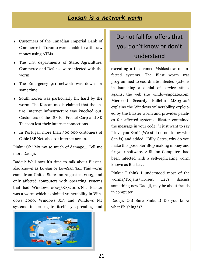### *Lovsan is a network worm*

- Customers of the Canadian Imperial Bank of Commerce in Toronto were unable to withdraw money using ATMs.
- The U.S. departments of State, Agriculture, Commerce and Defense were infected with the worm.
- The Emergency 911 network was down for some time.
- South Korea was particularly hit hard by the worm. The Korean media claimed that the entire Internet infrastructure was knocked out. Customers of the ISP KT Freetel Corp and SK Telecom lost their internet connections.
- In Portugal, more than 300,000 customers of Cable ISP Netcabo lost internet access.

Pinku: Oh! My my so much of damage... Tell me more Dadaji.

Dadaji: Well now it's time to talk about Blaster, also known as Lovsan or LoveSan 3a1. This worm came from United States on August 11, 2003, and only affected computers with operating systems that had Windows 2003/XP/2000/NT. Blaster was a worm which exploited vulnerability in Windows 2000, Windows XP, and Windows NT systems to propagate itself by spreading and



# Do not fall for offers that you don't know or don't understand

executing a file named Msblast.exe on infected systems. The Blast worm was programmed to coordinate infected systems in launching a denial of service attack against the web site windowsupdate.com. Microsoft Security Bulletin MS03-026 explains the Windows vulnerability exploited by the Blaster worm and provides patches for affected systems. Blaster contained the message in your code: "I just want to say I love you San!" (We still do not know who San is) and added, "Billy Gates, why do you make this possible? Stop making money and fix your software. 2 Billion Computers had been infected with a self-replicating worm known as Blaster. .

Pinku: I think I understood most of the worms/Trojans/viruses. Let's discuss something new Dadaji, may be about frauds in computer.

Dadaji: Oh! Sure Pinku…! Do you know what Phishing is?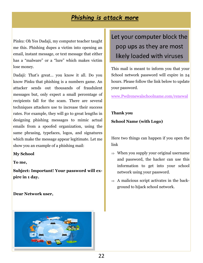### *Phishing is attack more*

Pinku: Oh Yes Dadaji, my computer teacher taught me this. Phishing dupes a victim into opening an email, instant message, or text message that either has a "malware" or a "lure" which makes victim lose money.

Dadaji: That's great… you know it all. Do you know Pinku that phishing is a numbers game. An attacker sends out thousands of fraudulent messages but, only expect a small percentage of recipients fall for the scam. There are several techniques attackers use to increase their success rates. For example, they will go to great lengths in designing phishing messages to mimic actual emails from a spoofed organization, using the same phrasing, typefaces, logos, and signatures which make the message appear legitimate. Let me show you an example of a phishing mail:

#### **My School**

**To me,**

**Subject: Important! Your password will expire in 1 day.**

**Dear Network user,** 



# Let your computer block the pop ups as they are most likely loaded with viruses

This mail is meant to inform you that your School network password will expire in 24 hours. Please follow the link below to update your password.

[www.Pwdrenewalschoolname.com/renewal](http://www.Pwdrenewalschoolname.com/renewal)

**Thank you School Name (with Logo)**

Here two things can happen if you open the link

- $\Rightarrow$  When you supply your original username and password, the hacker can use this information to get into your school network using your password.
- $\Rightarrow$  A malicious script activates in the background to hijack school network.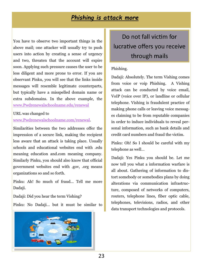### *Phishing is attack more*

You have to observe two important things in the above mail; one attacker will usually try to push users into action by creating a sense of urgency and two, threaten that the account will expire soon. Applying such pressure causes the user to be less diligent and more prone to error. If you are observant Pinku, you will see that the links inside messages will resemble legitimate counterparts, but typically have a misspelled domain name or extra subdomains. In the above example, the [www.Pwdrenewalschoolname.edu/renewal](http://www.Pwdrenewalschoolname.edu/renewal)

#### URL was changed to

[www.Pwdrenewalschoolname.com/renewal.](http://www.Pwdrenewalschoolname.com/renewal) 

Similarities between the two addresses offer the impression of a secure link, making the recipient less aware that an attack is taking place. Usually schools and educational websites end with .edu meaning education and.com meaning company. Similarly Pinku, you should also know that official government websites end with .gov, .org means organizations so and so forth.

Pinku: Ah! So much of fraud... Tell me more Dadaji.

Dadaji: Did you hear the term Vishing?

Pinku: No Dadaji… but it must be similar to



# Do not fall victim for lucrative offers you receive through mails

#### Phishing.

Dadaji: Absolutely. The term Vishing comes from voice or voip Phishing. A Vishing attack can be conducted by voice email, VoIP (voice over IP), or landline or cellular telephone. Vishing is fraudulent practice of making phone calls or leaving voice messages claiming to be from reputable companies in order to induce individuals to reveal personal information, such as bank details and credit card numbers and fraud the victim.

Pinku: Oh! So I should be careful with my telephone as well…

Dadaji: Yes Pinku you should be. Let me now tell you what a information warfare is all about. Gathering of information to distort somebody or somebodies plans by doing alterations via communication infrastructure, composed of networks of computers, routers, telephone lines, fiber optic cable, telephones, televisions, radios, and other data transport technologies and protocols.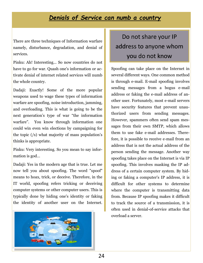### *Denials of Service can numb a country*

There are three techniques of Information warfare namely, disturbance, degradation, and denial of services.

Pinku: Ah! Interesting... So now countries do not have to go for war. Quash one's information or activate denial of internet related services will numb the whole country.

Dadaji: Exactly! Some of the more popular weapons used to wage these types of information warfare are spoofing, noise introduction, jamming, and overloading. This is what is going to be the next generation's type of war "the information warfare". You know through information one could win even win elections by campaigning for the topic (/s) what majority of mass population's thinks is appropriate.

Pinku: Very interesting. So you mean to say information is god…

Dadaji: Yes in the modern age that is true. Let me now tell you about spoofing. The word "spoof" means to hoax, trick, or deceive. Therefore, in the IT world, spoofing refers tricking or deceiving computer systems or other computer users. This is typically done by hiding one's identity or faking the identity of another user on the Internet.



# Do not share your IP address to anyone whom you do not know

Spoofing can take place on the Internet in several different ways. One common method is through e-mail. E-mail spoofing involves sending messages from a bogus e-mail address or faking the e-mail address of another user. Fortunately, most e-mail servers have security features that prevent unauthorized users from sending messages. However, spammers often send spam messages from their own SMTP, which allows them to use fake e-mail addresses. Therefore, it is possible to receive e-mail from an address that is not the actual address of the person sending the message. Another way spoofing takes place on the Internet is via IP spoofing. This involves masking the IP address of a certain computer system. By hiding or faking a computer's IP address, it is difficult for other systems to determine where the computer is transmitting data from. Because IP spoofing makes it difficult to track the source of a transmission, it is often used in denial-of-service attacks that overload a server.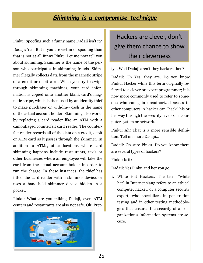### *Skimming is a compromise technique*

Pinku: Spoofing such a funny name Dadaji isn't it?

Dadaji: Yes! But if you are victim of spoofing than that is not at all funny Pinku. Let me now tell you about skimming. Skimmer is the name of the person who participates in skimming frauds. Skimmer illegally collects data from the magnetic stripe of a credit or debit card. When you try to swipe through skimming machines, your card information is copied onto another blank card's magnetic stripe, which is then used by an identity thief to make purchases or withdraw cash in the name of the actual account holder. Skimming also works by replacing a card reader like an ATM with a camouflaged counterfeit card reader. The counterfeit reader records all of the data on a credit, debit or ATM card as it passes through the skimmer. In addition to ATMs, other locations where card skimming happens include restaurants, taxis or other businesses where an employee will take the card from the actual account holder in order to run the charge. In these instances, the thief has fitted the card reader with a skimmer device, or uses a hand-held skimmer device hidden in a pocket.

Pinku: What are you talking Dadaji, even ATM centers and restaurants are also not safe. Oh! Pret-



# Hackers are clever, don't give them chance to show their cleverness

ty… Well Dadaji aren't they hackers then?

Dadaji: Oh Yes, they are. Do you know Pinku, Hacker while this term originally referred to a clever or expert programmer; it is now more commonly used to refer to someone who can gain unauthorized access to other computers. A hacker can "hack" his or her way through the security levels of a computer system or network.

Pinku: Ah! That is a more sensible definition. Tell me more Dadaji…

Dadaji: Oh sure Pinku. Do you know there are several types of hackers?

Pinku: Is it?

Dadaji: Yes Pinku and her you go:

1. White Hat Hackers: The term "white hat" in Internet slang refers to an ethical computer hacker, or a computer security expert, who specializes in penetration testing and in other testing methodologies that ensures the security of an organization's information systems are secure.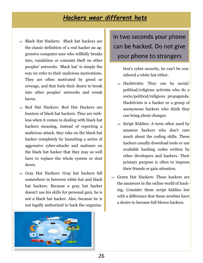### *Hackers wear different hats*

- $\Rightarrow$  Black Hat Hackers: Black hat hackers are the classic definition of a real hacker an aggressive computer user who willfully breaks into, vandalizes or commits theft on other peoples' networks. 'Black hat' is simply the way we refer to their malicious motivations. They are often motivated by greed or revenge, and that fuels their desire to break into other peoples' networks and wreak havoc.
- $\Rightarrow$  Red Hat Hackers: Red Hat Hackers are hunters of black hat hackers. They are ruthless when it comes to dealing with black hat hackers meaning, instead of reporting a malicious attack, they take on the black hat hacker completely by launching a series of aggressive cyber-attacks and malware on the black hat hacker that they may as well have to replace the whole system or shut down.
- $\Rightarrow$  Gray Hat Hackers: Gray hat hackers fall somewhere in between white hat and black hat hackers. Because a gray hat hacker doesn't use his skills for personal gain, he is not a black hat hacker. Also, because he is not legally authorized to hack the organiza-



# In two seconds your phone can be hacked. Do not give your phone to strangers

tion's cyber security, he can't be considered a white hat either.

- $\Rightarrow$  Hacktivists: They can be social/ political/religious activists who do a socio/political/religious propaganda. Hacktivists is a hacker or a group of anonymous hackers who think they can bring about changes.
- $\Rightarrow$  Script Kiddies: A term often used by amateur hackers who don't care much about the coding skills. These hackers usually download tools or use available hacking codes written by other developers and hackers. Their primary purpose is often to impress their friends or gain attention.
- $\Rightarrow$  Green Hat Hackers: These hackers are the amateurs in the online world of hacking. Consider them script kiddies but with a difference that these newbies have a desire to become full-blown hackers.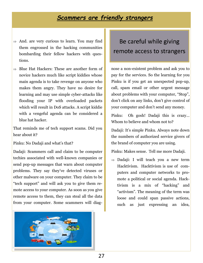### *Scammers are friendly strangers*

- $\Rightarrow$  And. are very curious to learn. You may find them engrossed in the hacking communities bombarding their fellow hackers with questions.
- $\Rightarrow$  Blue Hat Hackers: These are another form of novice hackers much like script kiddies whose main agenda is to take revenge on anyone who makes them angry. They have no desire for learning and may use simple cyber-attacks like flooding your IP with overloaded packets which will result in DoS attacks. A script kiddie with a vengeful agenda can be considered a blue hat hacker.

That reminds me of tech support scams. Did you hear about it?

Pinku: No Dadaji and what's that?

Dadaji: Scammers call and claim to be computer techies associated with well-known companies or send pop-up messages that warn about computer problems. They say they've detected viruses or other malware on your computer. They claim to be "tech support" and will ask you to give them remote access to your computer. As soon as you give remote access to them, they can steal all the data from your computer. Some scammers will diag-



# Be careful while giving remote access to strangers

nose a non-existent problem and ask you to pay for the services. So the learning for you Pinku is if you get an unexpected pop-up, call, spam email or other urgent message about problems with your computer, "Stop", don't click on any links, don't give control of your computer and don't send any money.

Pinku: Oh gosh! Dadaji this is crazy… Whom to believe and whom not to?

Dadaji: It's simple Pinku. Always note down the numbers of authorized service givers of the brand of computer you are using.

Pinku: Makes sense. Tell me more Dadaji.

 $\Rightarrow$  Dadaji: I will teach you a new term Hacktivism. Hacktivism is use of computers and computer networks to promote a political or social agenda. Hacktivism is a mix of "hacking" and "activism". The meaning of the term was loose and could span passive actions, such as just expressing an idea,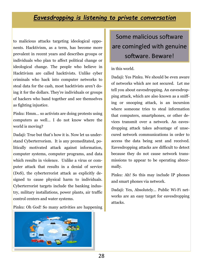### *Eavesdropping is listening to private conversation*

to malicious attacks targeting ideological opponents. Hacktivism, as a term, has become more prevalent in recent years and describes groups or individuals who plan to affect political change or ideological change. The people who believe in Hacktivism are called hacktivists. Unlike cyber criminals who hack into computer networks to steal data for the cash, most hacktivists aren't doing it for the dollars. They're individuals or groups of hackers who band together and see themselves as fighting injustice.

Pinku: Hmm… so activists are doing protests using computers as well… I do not know where the world is moving?

Dadaji: True but that's how it is. Now let us understand Cyberterrorism. It is any premeditated, politically motivated attack against information, computer systems, computer programs, and data which results in violence. Unlike a virus or computer attack that results in a denial of service (DoS), the cyberterrorist attack as explicitly designed to cause physical harm to individuals. Cyberterrorist targets include the banking industry, military installations, power plants, air traffic control centers and water systems.

Pinku: Oh God! So many activities are happening



Some malicious software are comingled with genuine software. Beware!

#### in this world.

Dadaji: Yes Pinku. We should be even aware of networks which are not secured. Let me tell you about eavesdropping. An eavesdropping attack, which are also known as a sniffing or snooping attack, is an incursion where someone tries to steal information that computers, smartphones, or other devices transmit over a network. An eavesdropping attack takes advantage of unsecured network communications in order to access the data being sent and received. Eavesdropping attacks are difficult to detect because they do not cause network transmissions to appear to be operating abnormally.

Pinku: Ah! So this may include IP phones and smart phones via network.

Dadaji: Yes, Absolutely... Public Wi-Fi networks are an easy target for eavesdropping attacks.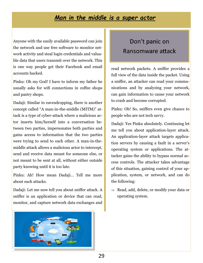### *Man in the middle is a super actor*

Anyone with the easily available password can join the network and use free software to monitor network activity and steal login credentials and valuable data that users transmit over the network. This is one way people get their Facebook and email accounts hacked.

Pinku: Oh my God! I have to inform my father he usually asks for wifi connections in coffee shops and pastry shops.

Dadaji: Similar to eavesdropping, there is another concept called "A man-in-the-middle (MITM)" attack is a type of cyber-attack where a malicious actor inserts him/herself into a conversation between two parties, impersonates both parties and gains access to information that the two parties were trying to send to each other. A man-in-themiddle attack allows a malicious actor to intercept, send and receive data meant for someone else, or not meant to be sent at all, without either outside party knowing until it is too late.

Pinku: Ah! How mean Dadaji… Tell me more about such attacks.

Dadaji: Let me now tell you about sniffer attack. A sniffer is an application or device that can read, monitor, and capture network data exchanges and



# Don't panic on Ransomware attack

read network packets. A sniffer provides a full view of the data inside the packet. Using a sniffer, an attacker can read your communications and by analyzing your network, can gain information to cause your network to crash and become corrupted.

Pinku: Oh! So, sniffers even give chance to people who are not tech savvy.

Dadaji: Yes Pinku absolutely. Continuing let me tell you about application-layer attack. An application-layer attack targets application servers by causing a fault in a server's operating system or applications. The attacker gains the ability to bypass normal access controls. The attacker takes advantage of this situation, gaining control of your application, system, or network, and can do the following:

 $\Rightarrow$  Read, add, delete, or modify your data or operating system.